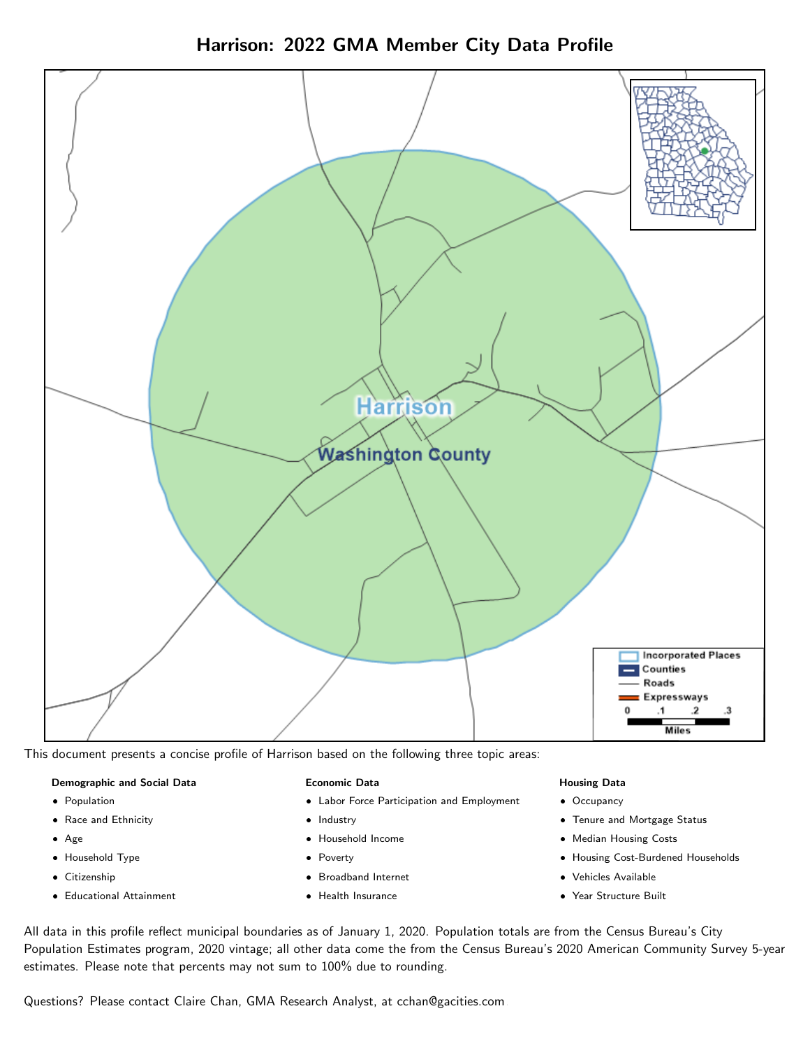Harrison: 2022 GMA Member City Data Profile



This document presents a concise profile of Harrison based on the following three topic areas:

#### Demographic and Social Data

- **•** Population
- Race and Ethnicity
- Age
- Household Type
- **Citizenship**
- Educational Attainment

#### Economic Data

- Labor Force Participation and Employment
- Industry
- Household Income
- Poverty
- Broadband Internet
- Health Insurance

#### Housing Data

- Occupancy
- Tenure and Mortgage Status
- Median Housing Costs
- Housing Cost-Burdened Households
- Vehicles Available
- Year Structure Built

All data in this profile reflect municipal boundaries as of January 1, 2020. Population totals are from the Census Bureau's City Population Estimates program, 2020 vintage; all other data come the from the Census Bureau's 2020 American Community Survey 5-year estimates. Please note that percents may not sum to 100% due to rounding.

Questions? Please contact Claire Chan, GMA Research Analyst, at [cchan@gacities.com.](mailto:cchan@gacities.com)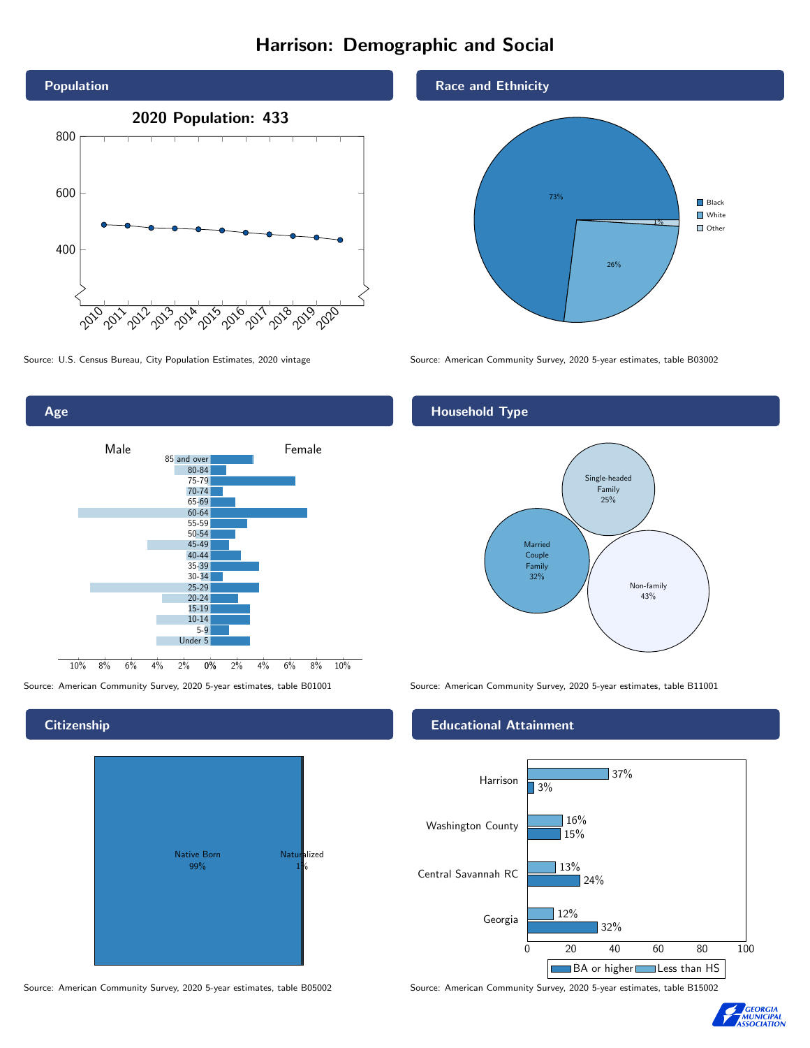# Harrison: Demographic and Social



0% 2% 4% 6% 8% 10% Male <u>Communiculation</u> Female 10% 8% 6% 4% 2% 85 and over 80-84 75-79 70-74 65-69 60-64 55-59 50-54 45-49 40-44 35-39 30-34 25-29 20-24 15-19 10-14 5-9 Under 5

# **Citizenship**

Age



Race and Ethnicity



Source: U.S. Census Bureau, City Population Estimates, 2020 vintage Source: American Community Survey, 2020 5-year estimates, table B03002

#### Household Type



Source: American Community Survey, 2020 5-year estimates, table B01001 Source: American Community Survey, 2020 5-year estimates, table B11001

#### Educational Attainment



Source: American Community Survey, 2020 5-year estimates, table B05002 Source: American Community Survey, 2020 5-year estimates, table B15002

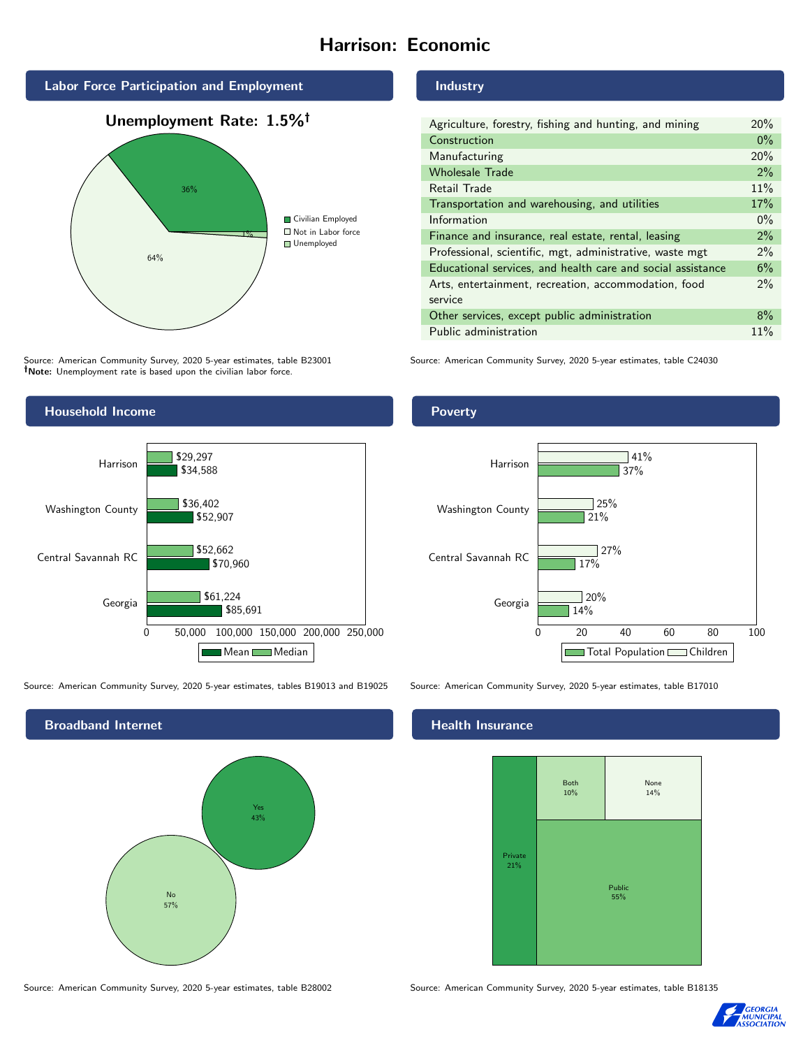# Harrison: Economic



Source: American Community Survey, 2020 5-year estimates, table B23001 Note: Unemployment rate is based upon the civilian labor force.

#### Industry

| Agriculture, forestry, fishing and hunting, and mining      | 20%   |
|-------------------------------------------------------------|-------|
| Construction                                                | $0\%$ |
| Manufacturing                                               | 20%   |
| <b>Wholesale Trade</b>                                      | 2%    |
| Retail Trade                                                | 11%   |
| Transportation and warehousing, and utilities               | 17%   |
| Information                                                 | $0\%$ |
| Finance and insurance, real estate, rental, leasing         | 2%    |
| Professional, scientific, mgt, administrative, waste mgt    | $2\%$ |
| Educational services, and health care and social assistance | 6%    |
| Arts, entertainment, recreation, accommodation, food        | $2\%$ |
| service                                                     |       |
| Other services, except public administration                | 8%    |
| Public administration                                       | 11%   |

Source: American Community Survey, 2020 5-year estimates, table C24030



Source: American Community Survey, 2020 5-year estimates, tables B19013 and B19025 Source: American Community Survey, 2020 5-year estimates, table B17010



Source: American Community Survey, 2020 5-year estimates, table B28002 Source: American Community Survey, 2020 5-year estimates, table B18135

#### **Health Insurance**





#### Poverty